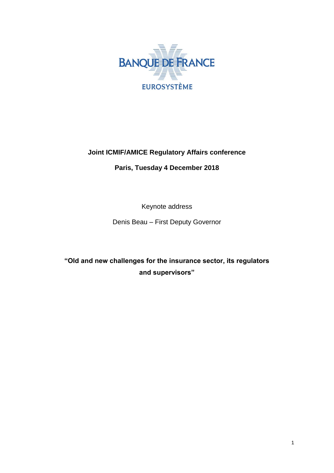

## **Joint ICMIF/AMICE Regulatory Affairs conference**

**Paris, Tuesday 4 December 2018**

Keynote address

Denis Beau – First Deputy Governor

**"Old and new challenges for the insurance sector, its regulators and supervisors"**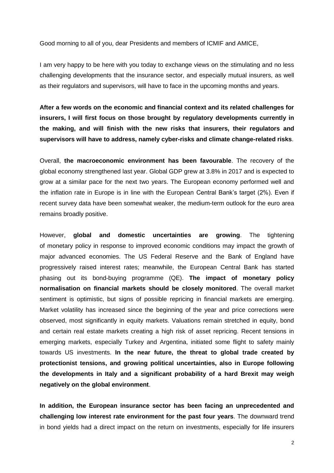Good morning to all of you, dear Presidents and members of ICMIF and AMICE,

I am very happy to be here with you today to exchange views on the stimulating and no less challenging developments that the insurance sector, and especially mutual insurers, as well as their regulators and supervisors, will have to face in the upcoming months and years.

**After a few words on the economic and financial context and its related challenges for insurers, I will first focus on those brought by regulatory developments currently in the making, and will finish with the new risks that insurers, their regulators and supervisors will have to address, namely cyber-risks and climate change-related risks**.

Overall, **the macroeconomic environment has been favourable**. The recovery of the global economy strengthened last year. Global GDP grew at 3.8% in 2017 and is expected to grow at a similar pace for the next two years. The European economy performed well and the inflation rate in Europe is in line with the European Central Bank's target (2%). Even if recent survey data have been somewhat weaker, the medium-term outlook for the euro area remains broadly positive.

However, **global and domestic uncertainties are growing**. The tightening of monetary policy in response to improved economic conditions may impact the growth of major advanced economies. The US Federal Reserve and the Bank of England have progressively raised interest rates; meanwhile, the European Central Bank has started phasing out its bond-buying programme (QE). **The impact of monetary policy normalisation on financial markets should be closely monitored**. The overall market sentiment is optimistic, but signs of possible repricing in financial markets are emerging. Market volatility has increased since the beginning of the year and price corrections were observed, most significantly in equity markets. Valuations remain stretched in equity, bond and certain real estate markets creating a high risk of asset repricing. Recent tensions in emerging markets, especially Turkey and Argentina, initiated some flight to safety mainly towards US investments. **In the near future, the threat to global trade created by protectionist tensions, and growing political uncertainties, also in Europe following the developments in Italy and a significant probability of a hard Brexit may weigh negatively on the global environment**.

**In addition, the European insurance sector has been facing an unprecedented and challenging low interest rate environment for the past four years**. The downward trend in bond yields had a direct impact on the return on investments, especially for life insurers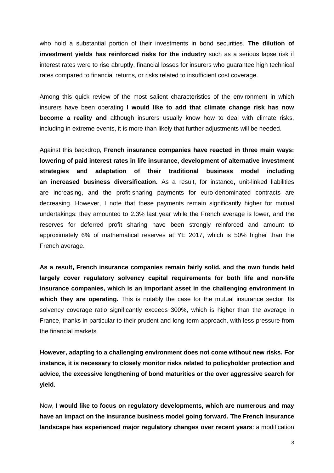who hold a substantial portion of their investments in bond securities. **The dilution of investment yields has reinforced risks for the industry** such as a serious lapse risk if interest rates were to rise abruptly, financial losses for insurers who guarantee high technical rates compared to financial returns, or risks related to insufficient cost coverage.

Among this quick review of the most salient characteristics of the environment in which insurers have been operating **I would like to add that climate change risk has now become a reality and** although insurers usually know how to deal with climate risks, including in extreme events, it is more than likely that further adjustments will be needed.

Against this backdrop, **French insurance companies have reacted in three main ways: lowering of paid interest rates in life insurance, development of alternative investment strategies and adaptation of their traditional business model including an increased business diversification.** As a result, for instance**,** unit-linked liabilities are increasing, and the profit-sharing payments for euro-denominated contracts are decreasing. However, I note that these payments remain significantly higher for mutual undertakings: they amounted to 2.3% last year while the French average is lower, and the reserves for deferred profit sharing have been strongly reinforced and amount to approximately 6% of mathematical reserves at YE 2017, which is 50% higher than the French average.

**As a result, French insurance companies remain fairly solid, and the own funds held largely cover regulatory solvency capital requirements for both life and non-life insurance companies, which is an important asset in the challenging environment in which they are operating.** This is notably the case for the mutual insurance sector. Its solvency coverage ratio significantly exceeds 300%, which is higher than the average in France, thanks in particular to their prudent and long-term approach, with less pressure from the financial markets.

**However, adapting to a challenging environment does not come without new risks. For instance, it is necessary to closely monitor risks related to policyholder protection and advice, the excessive lengthening of bond maturities or the over aggressive search for yield.**

Now, **I would like to focus on regulatory developments, which are numerous and may have an impact on the insurance business model going forward. The French insurance landscape has experienced major regulatory changes over recent years**: a modification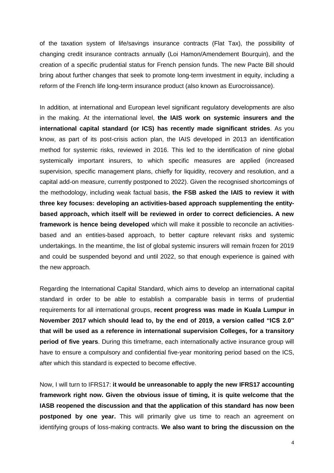of the taxation system of life/savings insurance contracts (Flat Tax), the possibility of changing credit insurance contracts annually (Loi Hamon/Amendement Bourquin), and the creation of a specific prudential status for French pension funds. The new Pacte Bill should bring about further changes that seek to promote long-term investment in equity, including a reform of the French life long-term insurance product (also known as Eurocroissance).

In addition, at international and European level significant regulatory developments are also in the making. At the international level, **the IAIS work on systemic insurers and the international capital standard (or ICS) has recently made significant strides**. As you know, as part of its post-crisis action plan, the IAIS developed in 2013 an identification method for systemic risks, reviewed in 2016. This led to the identification of nine global systemically important insurers, to which specific measures are applied (increased supervision, specific management plans, chiefly for liquidity, recovery and resolution, and a capital add-on measure, currently postponed to 2022). Given the recognised shortcomings of the methodology, including weak factual basis, **the FSB asked the IAIS to review it with three key focuses: developing an activities-based approach supplementing the entitybased approach, which itself will be reviewed in order to correct deficiencies. A new framework is hence being developed** which will make it possible to reconcile an activitiesbased and an entities-based approach, to better capture relevant risks and systemic undertakings. In the meantime, the list of global systemic insurers will remain frozen for 2019 and could be suspended beyond and until 2022, so that enough experience is gained with the new approach.

Regarding the International Capital Standard, which aims to develop an international capital standard in order to be able to establish a comparable basis in terms of prudential requirements for all international groups, **recent progress was made in Kuala Lumpur in November 2017 which should lead to, by the end of 2019, a version called "ICS 2.0" that will be used as a reference in international supervision Colleges, for a transitory period of five years**. During this timeframe, each internationally active insurance group will have to ensure a compulsory and confidential five-year monitoring period based on the ICS, after which this standard is expected to become effective.

Now, I will turn to IFRS17: **it would be unreasonable to apply the new IFRS17 accounting framework right now. Given the obvious issue of timing, it is quite welcome that the IASB reopened the discussion and that the application of this standard has now been postponed by one year.** This will primarily give us time to reach an agreement on identifying groups of loss-making contracts. **We also want to bring the discussion on the**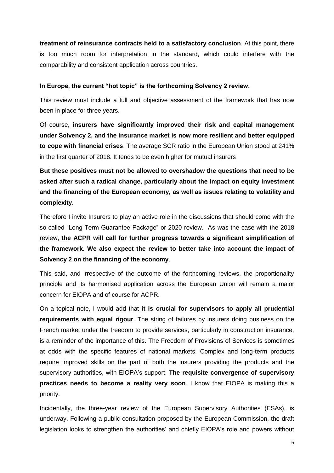**treatment of reinsurance contracts held to a satisfactory conclusion**. At this point, there is too much room for interpretation in the standard, which could interfere with the comparability and consistent application across countries.

## **In Europe, the current "hot topic" is the forthcoming Solvency 2 review.**

This review must include a full and objective assessment of the framework that has now been in place for three years.

Of course, **insurers have significantly improved their risk and capital management under Solvency 2, and the insurance market is now more resilient and better equipped to cope with financial crises**. The average SCR ratio in the European Union stood at 241% in the first quarter of 2018. It tends to be even higher for mutual insurers

**But these positives must not be allowed to overshadow the questions that need to be asked after such a radical change, particularly about the impact on equity investment and the financing of the European economy, as well as issues relating to volatility and complexity**.

Therefore I invite Insurers to play an active role in the discussions that should come with the so-called "Long Term Guarantee Package" or 2020 review. As was the case with the 2018 review, **the ACPR will call for further progress towards a significant simplification of the framework. We also expect the review to better take into account the impact of Solvency 2 on the financing of the economy**.

This said, and irrespective of the outcome of the forthcoming reviews, the proportionality principle and its harmonised application across the European Union will remain a major concern for EIOPA and of course for ACPR.

On a topical note, I would add that **it is crucial for supervisors to apply all prudential requirements with equal rigour**. The string of failures by insurers doing business on the French market under the freedom to provide services, particularly in construction insurance, is a reminder of the importance of this. The Freedom of Provisions of Services is sometimes at odds with the specific features of national markets. Complex and long-term products require improved skills on the part of both the insurers providing the products and the supervisory authorities, with EIOPA's support. **The requisite convergence of supervisory practices needs to become a reality very soon**. I know that EIOPA is making this a priority.

Incidentally, the three-year review of the European Supervisory Authorities (ESAs), is underway. Following a public consultation proposed by the European Commission, the draft legislation looks to strengthen the authorities' and chiefly EIOPA's role and powers without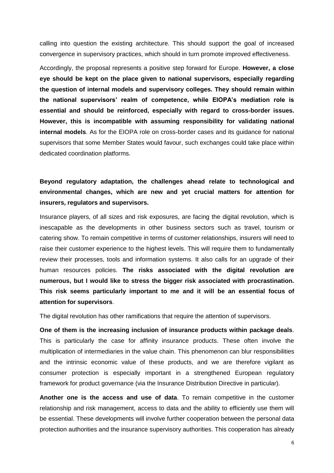calling into question the existing architecture. This should support the goal of increased convergence in supervisory practices, which should in turn promote improved effectiveness.

Accordingly, the proposal represents a positive step forward for Europe. **However, a close eye should be kept on the place given to national supervisors, especially regarding the question of internal models and supervisory colleges. They should remain within the national supervisors' realm of competence, while EIOPA's mediation role is essential and should be reinforced, especially with regard to cross-border issues. However, this is incompatible with assuming responsibility for validating national internal models**. As for the EIOPA role on cross-border cases and its guidance for national supervisors that some Member States would favour, such exchanges could take place within dedicated coordination platforms.

## **Beyond regulatory adaptation, the challenges ahead relate to technological and environmental changes, which are new and yet crucial matters for attention for insurers, regulators and supervisors.**

Insurance players, of all sizes and risk exposures, are facing the digital revolution, which is inescapable as the developments in other business sectors such as travel, tourism or catering show. To remain competitive in terms of customer relationships, insurers will need to raise their customer experience to the highest levels. This will require them to fundamentally review their processes, tools and information systems. It also calls for an upgrade of their human resources policies. **The risks associated with the digital revolution are numerous, but I would like to stress the bigger risk associated with procrastination. This risk seems particularly important to me and it will be an essential focus of attention for supervisors**.

The digital revolution has other ramifications that require the attention of supervisors.

**One of them is the increasing inclusion of insurance products within package deals**. This is particularly the case for affinity insurance products. These often involve the multiplication of intermediaries in the value chain. This phenomenon can blur responsibilities and the intrinsic economic value of these products, and we are therefore vigilant as consumer protection is especially important in a strengthened European regulatory framework for product governance (via the Insurance Distribution Directive in particular).

**Another one is the access and use of data**. To remain competitive in the customer relationship and risk management, access to data and the ability to efficiently use them will be essential. These developments will involve further cooperation between the personal data protection authorities and the insurance supervisory authorities. This cooperation has already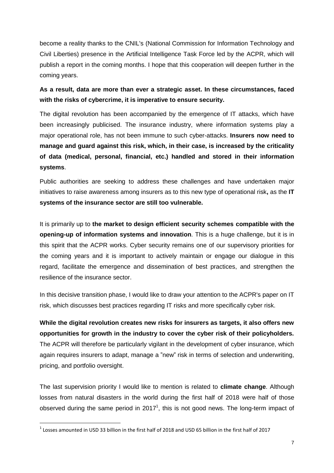become a reality thanks to the CNIL's (National Commission for Information Technology and Civil Liberties) presence in the Artificial Intelligence Task Force led by the ACPR, which will publish a report in the coming months. I hope that this cooperation will deepen further in the coming years.

**As a result, data are more than ever a strategic asset. In these circumstances, faced with the risks of cybercrime, it is imperative to ensure security.**

The digital revolution has been accompanied by the emergence of IT attacks, which have been increasingly publicised. The insurance industry, where information systems play a major operational role, has not been immune to such cyber-attacks. **Insurers now need to manage and guard against this risk, which, in their case, is increased by the criticality of data (medical, personal, financial, etc.) handled and stored in their information systems**.

Public authorities are seeking to address these challenges and have undertaken major initiatives to raise awareness among insurers as to this new type of operational risk**,** as the **IT systems of the insurance sector are still too vulnerable.**

It is primarily up to **the market to design efficient security schemes compatible with the opening-up of information systems and innovation**. This is a huge challenge, but it is in this spirit that the ACPR works. Cyber security remains one of our supervisory priorities for the coming years and it is important to actively maintain or engage our dialogue in this regard, facilitate the emergence and dissemination of best practices, and strengthen the resilience of the insurance sector.

In this decisive transition phase, I would like to draw your attention to the ACPR's paper on IT risk, which discusses best practices regarding IT risks and more specifically cyber risk.

**While the digital revolution creates new risks for insurers as targets, it also offers new opportunities for growth in the industry to cover the cyber risk of their policyholders.** The ACPR will therefore be particularly vigilant in the development of cyber insurance, which again requires insurers to adapt, manage a "new" risk in terms of selection and underwriting, pricing, and portfolio oversight.

The last supervision priority I would like to mention is related to **climate change**. Although losses from natural disasters in the world during the first half of 2018 were half of those observed during the same period in 2017<sup>1</sup>, this is not good news. The long-term impact of

<u>.</u>

 $^1$  Losses amounted in USD 33 billion in the first half of 2018 and USD 65 billion in the first half of 2017